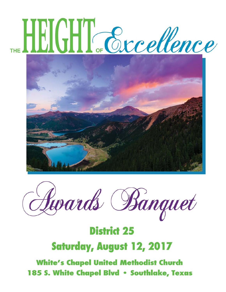# HEIGHT Excellence





# **District 25 Saturday, August 12, 2017**

**White's Chapel United Methodist Church** 185 S. White Chapel Blvd • Southlake, Texas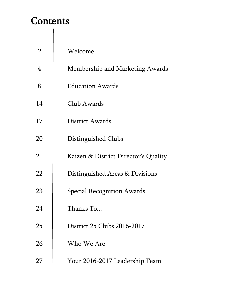### **Contents**

| $\overline{2}$ | Welcome                              |
|----------------|--------------------------------------|
| 4              | Membership and Marketing Awards      |
| 8              | <b>Education Awards</b>              |
| 14             | Club Awards                          |
| 17             | District Awards                      |
| 20             | Distinguished Clubs                  |
| 21             | Kaizen & District Director's Quality |
| 22             | Distinguished Areas & Divisions      |
| 23             | <b>Special Recognition Awards</b>    |
| 24             | Thanks To                            |
| 25             | District 25 Clubs 2016-2017          |
| 26             | Who We Are                           |
| 27             | Your 2016-2017 Leadership Team       |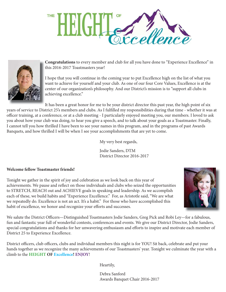



**Congratulations** to every member and club for all you have done to "Experience Excellence" in this 2016-2017 Toastmasters year!

I hope that you will continue in the coming year to put Excellence high on the list of what you want to achieve for yourself and your club. As one of our four Core Values, Excellence is at the center of our organization's philosophy. And our District's mission is to "support all clubs in achieving excellence."

It has been a great honor for me to be your district director this past year, the high point of six years of service to District 25's members and clubs. As I fulfilled my responsibilities during that time - whether it was at officer training, at a conference, or at a club meeting - I particularly enjoyed meeting you, our members. I loved to ask you about how your club was doing, to hear you give a speech, and to talk about your goals as a Toastmaster. Finally, I cannot tell you how thrilled I have been to see your names in this program, and in the programs of past Awards Banquets, and how thrilled I will be when I see your accomplishments that are yet to come.

My very best regards,

Jodie Sanders, DTM District Director 2016-2017

#### **Welcome fellow Toastmaster friends!**

Tonight we gather in the spirit of joy and celebration as we look back on this year of achievements. We pause and reflect on those individuals and clubs who seized the opportunities to STRETCH, REACH out and ACHIEVE goals in speaking and leadership. As we accomplish each of these, we build habits and "Experience Excellence." For, as Aristotle said, "We are what we repeatedly do. Excellence is not an act. It's a habit." For those who have accomplished this habit of excellence, we honor and recognize your efforts and successes.



We salute the District Officers—Distinguished Toastmasters Jodie Sanders, Greg Pick and Robi Ley—for a fabulous, fun and fantastic year full of wonderful contests, conferences and events. We give our District Director, Jodie Sanders, special congratulations and thanks for her unwavering enthusiasm and efforts to inspire and motivate each member of District 25 to Experience Excellence.

District officers, club officers, clubs and individual members this night is for YOU! Sit back, celebrate and put your hands together as we recognize the many achievements of our Toastmasters' year. Tonight we culminate the year with a climb to the **HEIGHT OF Excellence! ENJOY**!

Heartily,

Debra Sanford Awards Banquet Chair 2016-2017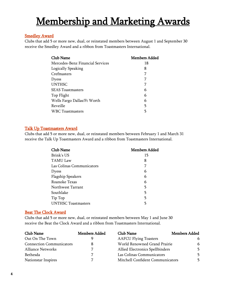#### Smedley Award

Clubs that add 5 or more new, dual, or reinstated members between August 1 and September 30 receive the Smedley Award and a ribbon from Toastmasters International.

| <b>Club Name</b>                 | <b>Members Added</b> |
|----------------------------------|----------------------|
| Mercedes-Benz Financial Services | 18                   |
| Logically Speaking               | 8                    |
| Crefmasters                      |                      |
| Dyess                            | 7                    |
| <b>UNTHSC</b>                    | 7                    |
| <b>SEAS Toastmasters</b>         | 6                    |
| Top Flight                       | 6                    |
| Wells Fargo Dallas/Ft Worth      | 6                    |
| Reveille                         | 5                    |
| WBC Toastmasters                 | 5                    |

#### Talk Up Toastmasters Award

Clubs that add 5 or more new, dual, or reinstated members between February 1 and March 31 receive the Talk Up Toastmasters Award and a ribbon from Toastmasters International.

| <b>Club Name</b>           | <b>Members Added</b> |
|----------------------------|----------------------|
| Brink's US                 | 15                   |
| <b>TAMU Law</b>            | 8                    |
| Las Colinas Communicators  |                      |
| Dyess                      | 6                    |
| <b>Flagship Speakers</b>   | 6                    |
| Roanoke Texas              | 6                    |
| Northwest Tarrant          | 5                    |
| Southlake                  | 5                    |
| Tip Top                    | 5                    |
| <b>UNTHSC Toastmasters</b> | 5                    |

#### Beat The Clock Award

Clubs that add 5 or more new, dual, or reinstated members between May 1 and June 30 receive the Beat the Clock Award and a ribbon from Toastmasters International.

| Club Name                       | Members Added | Club Name                        | <b>Members Added</b> |
|---------------------------------|---------------|----------------------------------|----------------------|
| Out On The Town                 |               | <b>AAFCU Flying Toasters</b>     | 6                    |
| <b>Connection Communicators</b> |               | World Renowned Grand Prairie     | 6                    |
| <b>Alliance Networks</b>        |               | Allied Electronics Spellbinders  | 5.                   |
| Bethesda                        | 7             | Las Colinas Communicators        | 5.                   |
| <b>Nationstar Inspires</b>      |               | Mitchell Confident Communicators | 5.                   |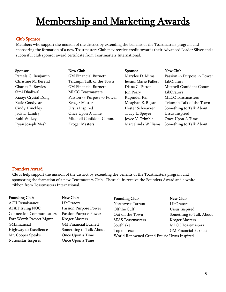#### Club Sponsor

Members who support the mission of the district by extending the benefits of the Toastmasters program and sponsoring the formation of a new Toastmasters Club may receive credit towards their Advanced Leader Silver and a successful club sponsor award certificate from Toastmasters International.

| Sponsor             | New Club                    | <b>Sponsor</b>        | New Club                    |
|---------------------|-----------------------------|-----------------------|-----------------------------|
| Pamela G. Benjamin  | <b>GM Financial Burnett</b> | Marylee D. Mims       | Passion -> Purpose -> Power |
| Christine M. Berend | Triumph Talk of the Town    | Jessica Marie Pallett | LibOrators                  |
| Charles P. Bowles   | <b>GM Financial Burnett</b> | Diana C. Patton       | Mitchell Confident Comm.    |
| Simi Dhaliwal       | <b>MLCC</b> Toastmasters    | Jon Perry             | LibOrators                  |
| Xiaoyi Crystal Dong | Passion -> Purpose -> Power | Rupinder Rai          | <b>MLCC</b> Toastmasters    |
| Katie Goodyear      | <b>Kroger Masters</b>       | Meaghan E. Regan      | Triumph Talk of the Town    |
| Cindy Hinckley      | Ursus Inspired              | Hester Schwarzer      | Something to Talk About     |
| Jack L. Landry      | Once Upon A Time            | Tracy L. Speyer       | Ursus Inspired              |
| Robi W. Ley         | Mitchell Confident Comm.    | Joyce V. Trimble      | Once Upon A Time            |
| Ryan Joseph Mesh    | <b>Kroger Masters</b>       | Marcelinda Williams   | Something to Talk About     |

#### Founders Award

Clubs help support the mission of the district by extending the benefits of the Toastmasters program and sponsoring the formation of a new Toastmasters Club. These clubs receive the Founders Award and a white ribbon from Toastmasters International.

#### Founding Club New Club

ACH Renaissance LibOrators AT&T Irving NOC Passion Purpose Power Connection Communicators Passion Purpose Power Fort Worth Project Mgmt Kroger Masters GMFinancial GM Financial Burnett Highway to Excellence Something to Talk About Mr. Cooper Speaks Once Upon a Time Nationstar Inspires Once Upon a Time

#### Founding Club New Club

Northwest Tarrant LibOrators Off the Cuff Ursus Inspired Out on the Town Something to Talk About SEAS Toastmasters **Kroger Masters** Southlake MLCC Toastmasters Top of Texas GM Financial Burnett World Renowned Grand Prairie Ursus Inspired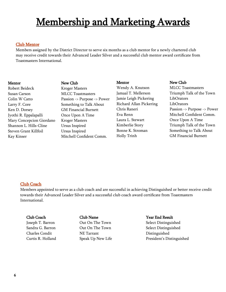#### Club Mentor

Members assigned by the District Director to serve six months as a club mentor for a newly chartered club may receive credit towards their Advanced Leader Silver and a successful club mentor award certificate from Toastmasters International.

Robert Beideck Kroger Masters Susan Carson MLCC Toastmasters Larry F. Core Something to Talk About Ken D. Dorsey **GM Financial Burnett** Jyothi R. Eppalapalli Once Upon A Time Mary Concepcion Giordano Kroger Masters Shannon L. Hills-Cline Ursus Inspired Steven Grant Killfoil Ursus Inspired

Mentor New Club Colin W Catto Passion -> Purpose -> Power Kay Kinser Mitchell Confident Comm.

Mentor New Club Wendy A. Knutson MLCC Toastmasters Jamie Leigh Pickering LibOrators Richard Allan Pickering LibOrators Laura L. Stewart **Once Upon A Time** Holly Trinh GM Financial Burnett

Jamaal T. Mellerson Triumph Talk of the Town Chris Raneri Passion -> Purpose -> Power Eva Renn Mitchell Confident Comm. Kimberlie Story Triumph Talk of the Town Bonne K. Stroman Something to Talk About

#### Club Coach

Members appointed to serve as a club coach and are successful in achieving Distinguished or better receive credit towards their Advanced Leader Silver and a successful club coach award certificate from Toastmasters International.

# Club Coach Club Name Year End Result Charles Condit NE Tarrant Distinguished

Joseph T. Barron Out On The Town Select Distinguished Sandra G. Barron Cut On The Town Select Distinguished Curtis R. Holland Speak Up New Life President's Distinguished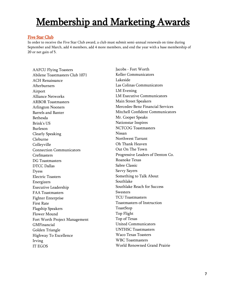#### Five Star Club

In order to receive the Five Star Club award, a club must submit semi-annual renewals on time during September and March, add 4 members, add 4 more members, and end the year with a base membership of 20 or net gain of 5.

AAFCU Flying Toasters Abilene Toastmasters Club 1071 ACH Renaissance Afterburners Airport Alliance Networks ARBOR Toastmasters Arlington Nooners Barrels and Banter Bethesda Brink's US Burleson Clearly Speaking Cleburne **Colleyville** Connection Communicators Crefmasters DG Toastmasters DTCC Dallas Dyess Electric Toasters Energizers Executive Leadership FAA Toastmasters Fighter Enterprise First Rate Flagship Speakers Flower Mound Fort Worth Project Management GMFinancial Golden Triangle Highway To Excellence Irving IT EGOS

Jacobs - Fort Worth Keller Communicators Lakeside Las Colinas Communicators LM Evening LM Executive Communicators Main Street Speakers Mercedes-Benz Financial Services Mitchell Confident Communicators Mr. Cooper Speaks Nationstar Inspires NCTCOG Toastmasters Nissan Northwest Tarrant Oh Thank Heaven Out On The Town Progressive Leaders of Denton Co. Roanoke Texas Sabre Classic Savvy Sayers Something to Talk About Southlake Southlake Reach for Success **Swesters** TCU Toastmasters Toastmasters of Instruction ToastStop Top Flight Top of Texas United Communicators UNTHSC Toastmasters Waco Texas Toasters WBC Toastmasters World Renowned Grand Prairie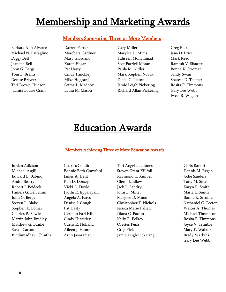#### Members Sponsoring Three or More Members

Barbara Ann Alvarez Darren Ferrar Gary Miller Greg Pick Michael N. Battaglino Marcheta Gardner Marylee D. Mims Jana D. Price Diggy Bell Mary Giordano Tahseen Mohammad Mark Reed Jeanene Bell Karen Hagar Scot Patrick Moran Ramesh V. Shaastri John G. Bergs Pat Hasty Paula M. Nidler Bonne K. Stroman Tom E. Brents **Cindy Hinckley Mark Stephen Novak** Sandy Swan Denise Brewer Mike Hoggard Diana C. Patton Shatese D. Teemer Teri Brown-Hudson Setma L. Maddox Jamie Leigh Pickering Rosita P. Timmons Juanita Louise Crain Laura M. Mason Richard Allan Pickering Gary Lee Webb

Jwon R. Wiggins

### Education Awards

#### Members Achieving Three or More Education Awards

Jordan Adkison Charles Condit Teri Angelique Jones Chris Raneri

Michael Asgill Bonnie Beth Crawford Steven Grant Killfoil Dennis M. Regan Edward B. Babino James A. Dent Raymond C. Kimber Jodie Sanders Andra Beatty Ken D. Dorsey Glenn Laidlaw Tony M. Small Robert J. Beideck Vicki A. Doyle Jack L. Landry Karyn R. Smith Pamela G. Benjamin Jyothi R. Eppalapalli John E. Miller Maria L. Smith John G. Bergs **Angela A. Fares** Marylee D. Mims Bonne K. Stroman Steven L. Blake Denise I. Gough Christopher T. Nichols Nathaniel C. Teeter Stephen E. Bomar Pat Hasty Jessica Marie Pallett Walter A. Thomas Charles P. Bowles Germon Earl Hill Diana C. Patton Michael Thompson Martin John Bradley Cindy Hinckley Kelly R. Pelkey Rosita P. Timmons Matthew G. Bunke Curtis R. Holland Crestes Pena Corester Move V. Trimble Susan Carson Aileen J. Hummel Greg Pick Mary E. Walker Bindumadhavi Chintha Arun Jayaraman Jamie Leigh Pickering Brady Watkins

Gary Lee Webb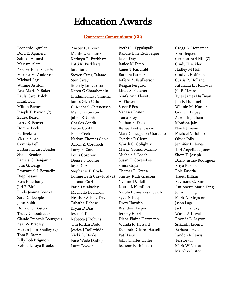#### Competent Communicator (CC)

Leonardo Aguilar Dora E. Aguilera Salman Ahmed Mariam Alam Andrea June Anderle Mariela M. Anderson Michael Asgill Winnie Ashton Ana-Maria N Baker Paula Carol Balch Frank Ball Milton Barnes Joseph T. Barron (2) Zadek Beard Larry E. Beaver Dorene Beck Ed Beekman Victor Bejar Cynthia Bell Barbara Louise Bender Shane Bender Pamela G. Benjamin John G. Bergs Emmanuel J. Bernadin Diep Besaw Ross E Bethany Jeri F. Bird Linda Jeanne Boecker Sara D. Boepple John Boldt Donald C. Boston Trudy C Boudreaux Claude Francois Bourgeois Karl W Bradley Martin John Bradley (2) Tom E. Brents Billy Bob Brigmon Keisha Latoya Brooks

Amber L. Brown Matthew G. Bunke Kathryn R. Burkhart Patti K. Burkhart Jara Butler Steven Craig Calame Ster Carey Beverly Jan Carlson Karen G Chamberlain Bindumadhavi Chintha James Glen Chlup G. Michael Christensen Mel Christenson Jaime E. Cobb Charles Condit Bettie Conklin Elicia Cook Nathan Thomas Cook Aaron Z. Cordroch Larry F. Core Louis Corprew Denise S Coulter Jason Cox Stephanie E. Coyle Bonnie Beth Crawford (2) Thomas Curl Farid Darabadey Mechelle Davidson Heather Ashley Davis Tabatha Debose Bryan D Dias Jesus P. Diaz Rebecca J Dobyns Tim Jordan Dodd Jessica J Dollarhide Vicki A. Doyle Pace Wade Dudley Larry Dwyer

Jyothi R. Eppalapalli Randle Kyle Eschberger Jason Essy Janice M Estep James T Fairchild Barbara Farmer Jeffery A. Faulkerson Reagan Ferguson Linda S. Fletcher Ninfa Ann Flewitt Al Flowers Steve F Foss Vanessa Foster Tania Frey Nathan E. Frick Renee Yvette Gaskin Mary Concepcion Giordano Cynthia R Glenn Worth C. Golightly Maria Gomez-Marino Michele S Gooch Susan E. Gover-Lee Smita Goyal Thomas E. Green Shirley Ruth Grissom Yvonne D. Hall Laurie L Hamilton Nicole Hanes Kosanovich Syed N Haq Drew Harnish Brandon Harper Jeremy Harris Diana Elaine Hartmann Wanda R. Hassard Deborah Delores Hassell Pat Hasty John Charles Hatler Jeanene F. Heilman

Gregg A. Heinzman Ron Hequet Germon Earl Hill (7) Cindy Hinckley Hadley M Hoff Cindy L Hoffman Curtis R. Holland Fatumata L. Holloway Jill E. House Tyler James Huffman Jim F. Hummel Winnie M. Hunter Graham Impey Aaron Ingraham Monisha Jain Noe F Jimenez Michael V. Johnson Olivia Jolly Jennifer D. Jones Teri Angelique Jones Shem T. Joseph Dario Jusino-Rodriguez Priya Karnik Roja Kasarla Truett Killian Raymond C. Kimber Antionette Marie King John P. King Mark A. Kingston Jason Lage Jack L. Landry Wasiu A Lawal Rhonda L. Layton Srikanth Leburu Barbara Lewis Landon R Lewis Teri Lewis Mark W Liston Marykay Liston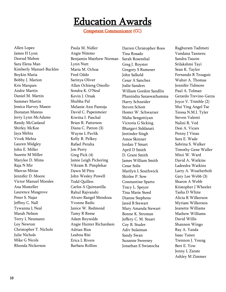Competent Communicator (CC)

Allen Lopez James H Lyon Dawud Mabon Sara Elena Man Kimberly Manuel-Buckles Boykin Maria Bobby J. Marion Kris Marques Andre Martin Daniel M. Martin Summer Martin Jessica Harvey Mason Jhonatan Mateus Jerry Lynn McAdams Randy McCasland Shirley McKee Jaya Mehta Vivek Mehta Lauren Midgley John E. Miller Suzette M Miller Marylee D. Mims Raja N Mir Marcus Mitias Jennifer D. Moore Victor Manuel Morales Ana Mosteller Laurence Musgrove Peter S. Najar Jeffrey C. Nall Tywanna L Neal Marah Nelson Terry L Neumann Loy Newton Christopher T. Nichols Julie Nichols Mike G Nicols Rhonda Nickerson

Paula M. Nidler Angie Nimmo Benjamin Matthew Norman Lynn Nutt Maria M. Ochoa Fred Oddo Sarinya Oliver Allan Ochieng Omollo Sondra K. O'Neal Kevin J. Orsak Shubha Pal Melanie Ann Pantoja David C. Papenmeier Kiwitta I. Paschal Brian R. Patterson Diana C. Patton (3) Wayne L Pavlik Kelly R. Pelkey Rafael Peralta Jon Perry Greg Pick (4) Jamie Leigh Pickering Vikram B. Pimplekar Dawn M Pitts John Wesley Powell Todd Quillen Carlos A Quintanilla Rahul Rajvanshi Alvaro Rangel Mendoza Yvonne Redic Janice W. Redmond Tamy R Reese Adam Reynolds Angie Hunter Richardson Adrian Rios Leahna Risi Erica L Rivers Barbara Rollins

Darren Christopher Roos Tina Rosado Sarah Rosenthal Greg J. Royster Gregory S Rumeser John Salkeld Cesar A Sanchez Jodie Sanders William Gordon Sandlin Phanindra Saraswathamma Harry Schneider Steven Schott Hester W. Schwarzer Maha Sengottiyan Victoria G Sicking Bhargavi Siddanati Jeetinder Singh Amos Skinner Jordan T Smart April D Smith D. Grant Smith James William Smith Cesar Solis Marilyn L Southwick Shirlee P. Sow Constantine Sparto Tracy L. Speyer Tina Marie Steed Dianne Stephens Jared B Stewart Mary Amanda Stewart Bonne K. Stroman Jeffery C. M. Stuart Coy B. Studer Adiv Sulaiman Sandy Swan Suzanne Sweeney Jonathan E Swiatocha

Raghuram Tadimeti Vandana Tanneru Sandra Tauzin Srilakshmi Tayi Sean K. Taylor Fernando R Tezaguic Walter A. Thomas Jennifer Tidmore Paul A. Tolman Gerardo Trevino-Garza Joyce V. Trimble (2) Mui Ying Angel Tse Teresa N.M.I. Tyler Steven Valenti Nalini R. Ved Desi A. Vicars Penny J Vieau Sara E. Wade Sabrina S. Walker Timothy Gene Waller Mitzi W. Ward David A. Watkins Ladeedra Watkins Larry A. Weatherholt Gary Lee Webb (3) Sharon A Webb Kristopher J Wheeler Tasha D White Alicia R Wilkerson Myriam Wilkerson Jeanette Williams Mathew Williams David Willis Shannon Wingo Ray A. Yanda Isaac Yanez Trennon J. Young Bert E. Yow Jenny L Zarate Ashley M Zimmer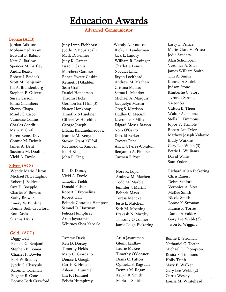Advanced Communicator

#### Bronze (ACB)

Jordan Adkison Mohammed Azam Edward B. Babino Kate G. Barlow Spencer M. Bartley Andra Beatty Robert J. Beideck Scott M. Benjamin Jill A. Brandenburg Stephen P. Calvert Susan Carson Jonna Chambers Sherry Chapa Mindy S. Cisco Vanneise Collins Charles Condit Mary M Croft Karen Renea Davis Connie M. Delzeit James A. Dent Suzanna M. Dooling Vicki A. Doyle

#### Silver (ACS)

Wendy Marie Alston Michael N. Battaglino Robert J. Beideck Sara D. Boepple Charles P. Bowles Kathy Brewer Emery W Burdine Bonnie Beth Crawford Ron Davis Suanna Davis

#### Gold (ACG)

Diggy Bell Pamela G. Benjamin Stephen E. Bomar Charles P. Bowles Karl W Bradley Jyothi S. Charyulu Karen L. Coleman Eugene B. Cone Bonnie Beth Crawford

Judy Lynn Eichhorst Jyothi R. Eppalapalli Mark D. Fenner Judy K. Gaman Isaac L Garcia Marcheta Gardner Renee Yvette Gaskin Kenneth J Gladden Sean Graf Daniel Henderson Thronn Hicks Germon Earl Hill (3) Nancy Honkomp Timothy S Huebner Gilbert W Hutchins George Joseph Biljana Karamehmedovic Jeannie M. Kenyon Steven Grant Killfoil Raymond C. Kimber Joe H King John P. King

Ken D. Dorsey Vicki A. Doyle Timothy Fields Donald Fisher Robert J. Fromelius Robert Hall Belinda Gonzalez Hampton Samuel D. Hartman Felicia Humphrey Arun Jayaraman Whitney Shea Kaberle

Tammy Davis Ken D. Dorsey Timothy Fields Mary C. Giordano Denise I. Gough Curtis R. Holland Aileen J. Hummel Jim F. Hummel Felicia Humphrey Wendy A. Knutson Ricky L. Landerman Jack L. Landry William R. Lastinger Charlotte Lenox Noadias Lima Bryan Lochhead Andrew M. Machen Cristina Macias Setma L. Maddox Michael A. Marquis Jacquelyn Martin Greg S. Mattison Dudley C. Mecum Lawrence F Mills Edgard Moses-Batson Nora O'Garro Donald Parker Orestes Pena Alicia J. Perez-Cojulun Benjamin A. Plopper Carmen E Post

Nora K. Loyd Andrew M. Machen Todd M. Marble Jennifer J. Martin Belinda Mays Teresa Mencke Jesse L. Mitchell Seth M. Moening Prakash N. Murthy Timothy O'Conner Jamie Leigh Pickering

Arun Jayaraman Glenn Laidlaw Laurie McKee Timothy O'Conner Diana C. Patton Quineka S. Ragsdale Dennis M. Regan Karyn R. Smith Maria L. Smith

Larry L. Prince Marie-Clare V. Prisco Jodie Sanders Alan Schonborn Veronica A. Sites James William Smith Tim A. Smith Konrad A Stoick Judson Stone Kimberlie C. Story Tyronda Strong Victor Su Clifton B. Theus Walter A. Thomas Stella L. Timmons Joyce V. Trimble Robert Lee Tyler Mathew Joseph Valastro Brady Watkins Gary Lee Webb (3) Bettie L. Williams David Willis Stan Yoder

Richard Allan Pickering Chris Raneri Debra Sanford Veronica A. Sites McKee Smith Nicole Smith Bonne K. Stroman Francisco Torres Daniel A Valdez Gary Lee Webb (3) Jwon R. Wiggins

Bonne K. Stroman Nathaniel C. Teeter Michael E. Thompson Rosita P. Timmons Holly Trinh Mary E. Walker Gary Lee Webb (2) Curtis Wesley Louisa M. Whitehead

11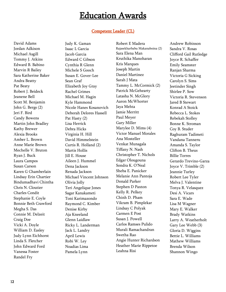#### Competent Leader (CL)

David Adams Jordan Adkison Michael Asgill Tommy J. Atkins Edward B. Babino Marvin R Bailey Sara Katherine Baker Andra Beatty Pat Beaty Robert J. Beideck Jeanene Bell Scott M. Benjamin John G. Bergs (2) Jeri F. Bird Candy Bowens Martin John Bradley Kathy Brewer Alexia Brooks Amber L. Brown Anne Marie Brown Mechelle V. Bruton Ryan J. Buck Laura Campos Susan Carson Karen G Chamberlain Lindsay Erin Chartier Bindumadhavi Chintha Chris N. Cloutier Charles Condit Stephanie E. Coyle Bonnie Beth Crawford Megha S. Das Connie M. Delzeit Craig Doe Vicki A. Doyle William D. Easley Judy Lynn Eichhorst Linda S. Fletcher John Edward Ford Vanessa Foster Randel Fry

Judy K. Gaman Isaac L Garcia Jacob Garcia Edward C Gibson Cynthia R Glenn Michele S Gooch Susan E. Gover-Lee Sean Graf Elizabeth Joy Gray Rachel Grimes Michael M. Hagin Kyle Hammond Nicole Hanes Kosanovich Deborah Delores Hassell Pat Hasty (2) Lisa Herrick Debra Hicks Virginia H. Hill David Himmelstein Curtis R. Holland (2) Martis Hollis Jill E. House Aileen J. Hummel Dena Jackson Renada Jackson Michael Vincent Johnson Olivia Jolly Teri Angelique Jones Sagar Kanakameti Toni Karimazondo Raymond C. Kimber Denise Kirby Aja Kneeland Glenn Laidlaw Ricky L. Landerman Jack L. Landry April Lewis Robi W. Ley Noadias Lima Pamela Lynn

Robert E Madera Rajasekharbabu Makanaboina (2) Sara Elena Man Kruthika Manoharan Kris Marques Joseph Martin Daniel Martinez Sarah J Mata Tammy L. McCormick (2) Patrick McGehearty Latasha N. McGlory Aaron McWhorter Jaya Mehta Jamie Merritt Paul Meyer Gary Miller Marylee D. Mims (4) Victor Manuel Morales Ana Mosteller Venkat Munagala Tiffany N. Nash Christopher T. Nichols Edgar Olougouna Sondra K. O'Neal Sheba E. Panicker Melanie Ann Pantoja Donald Parker Stephen D Paxton Kelly R. Pelkey Chinh D. Pham Vikram B. Pimplekar Lindsay C Polyak Carmen E Post Susan J. Powell Carlos Ramses Pulido Murali Ramachandran Swetha Rao Angie Hunter Richardson Heather Marie Rippetoe Leahna Risi

Andrew Robinson Sandra V. Rosas Clifford Gail Rutledge Joyce R. Schaffer Emily Seamster Ranjan Sharma Victoria G Sicking Carolyn S. Sims Jeetinder Singh Shirlee P. Sow Victoria R. Stevenson Jared B Stewart Konrad A Stoick Rebecca L. Stokes Rebekah Stolley Bonne K. Stroman Coy B. Studer Raghuram Tadimeti Vandana Tanneru Amanda S. Taylor Clifton B. Theus Billie Torres Gerardo Trevino-Garza Joyce V. Trimble (2) Jeannie Turley Robert Lee Tyler Melva J. Valentine Tonya R. Velasquez Desi A. Vicars Sara E. Wade Lisa M Wagner Mary E. Walker Brady Watkins Larry A. Weatherholt Gary Lee Webb (3) Gloria D. Wiggins Bettie L. Williams Mathew Williams Brenda Wilson Shannon Wingo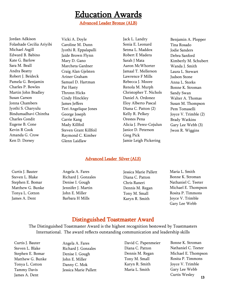Advanced Leader Bronze (ALB)

Jordan Adkison Folashade Cecilia Ariyibi Michael Asgill Edward B. Babino Kate G. Barlow Sara M. Beall Andra Beatty Robert J. Beideck Pamela G. Benjamin Charles P. Bowles Martin John Bradley Susan Carson Jonna Chambers Jyothi S. Charyulu Bindumadhavi Chintha Charles Condit Eugene B. Cone Kevin R Cook Amanda G. Crow Ken D. Dorsey

Vicki A. Doyle Caroline M. Dunn Jyothi R. Eppalapalli Jaide Brown Flynn Mary D. Gano Marcheta Gardner Craig Alan Gjelsten Ariner Graham Samuel D. Hartman Pat Hasty Thronn Hicks Cindy Hinckley James Jeffers Teri Angelique Jones George Joseph Carrie Kang Mady Killfoil Steven Grant Killfoil Raymond C. Kimber Glenn Laidlaw

Jack L. Landry Sonia E. Leonard Setma L. Maddox Robert E Madera Sarah J Mata Aaron McWhorter Jamaal T. Mellerson Lawrence F Mills Rebecca J. Moore Renola M. Murph Christopher T. Nichols Daniel A. Ordonez Eloy Alberto Pascal Diana C. Patton (2) Kelly R. Pelkey Orestes Pena Alicia J. Perez-Cojulun Janice D. Peterson Greg Pick Jamie Leigh Pickering

Benjamin A. Plopper Tina Rosado Jodie Sanders Debra Sanford Kimberly M. Schubert Wanda J. Smith Laura L. Stewart Judson Stone Anna L. Storks Bonne K. Stroman Sandy Swan Walter A. Thomas Susan M. Thompson Pem Tomaselli Joyce V. Trimble (2) Brady Watkins Gary Lee Webb (3) Jwon R. Wiggins

#### Advanced Leader Silver (ALS)

Curtis J. Bauter Steven L. Blake Stephen E. Bomar Matthew G. Bunke Tonya L. Cotton James A. Dent

Angela A. Fares Richard J. Gonzales Denise I. Gough Jennifer J. Martin John E. Miller Barbara H Mills

Jessica Marie Pallett Diana C. Patton Chris Raneri Dennis M. Regan Tony M. Small Karyn R. Smith

Maria L. Smith Bonne K. Stroman Nathaniel C. Teeter Michael E. Thompson Rosita P. Timmons Joyce V. Trimble Gary Lee Webb

#### Distinguished Toastmaster Award

The Distinguished Toastmaster Award is the highest recognition bestowed by Toastmasters International. The award reflects outstanding communication and leadership skills

Curtis J. Bauter Steven L. Blake Stephen E. Bomar Matthew G. Bunke Tonya L. Cotton Tammy Davis James A. Dent

Angela A. Fares Richard J. Gonzales Denise I. Gough John E. Miller Danny C. Mok Jessica Marie Pallett David C. Papenmeier Diana C. Patton Dennis M. Regan Tony M. Small Karyn R. Smith Maria L. Smith

13 Bonne K. Stroman Nathaniel C. Teeter Michael E. Thompson Rosita P. Timmons Joyce V. Trimble Gary Lee Webb Curtis Wesley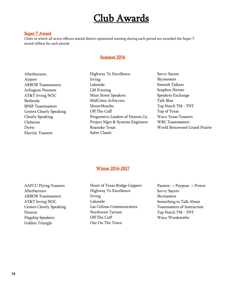### Club Awards

#### Super 7 Award

Clubs in which all seven officers attend district sponsored training during each period are awarded the Super 7 award ribbon for each period.

#### Summer 2016

Afterburners Airport ARBOR Toastmasters Arlington Nooners AT&T Irving NOC Bethesda BNSF Toastmasters Centex Clearly Speaking Clearly Speaking Cleburne Dyess Electric Toasters

Highway To Excellence Irving Lakeside LM Evening Main Street Speakers MidCities Achievers MotorMouths Off The Cuff Progressive Leaders of Denton Co. Project Mgrs & Systems Engineers Roanoke Texas Sabre Classic

Savvy Sayers Skymasters Smooth Talkers Soapbox Heroes Speakers Exchange Talk Blue Top Notch TM - TNT Top of Texas Waco Texas Toasters WBC Toastmasters World Renowned Grand Prairie

#### Winter 2016-2017

AAFCU Flying Toasters Afterburners ARBOR Toastmasters AT&T Irving NOC Centex Clearly Speaking Denton Flagship Speakers Golden Triangle

Heart of Texas Bridge Gappers Highway To Excellence Irving Lakeside Las Colinas Communicators Northwest Tarrant Off The Cuff Out On The Town

Passion -> Purpose -> Power Savvy Sayers Skymasters Something to Talk About Toastmasters of Instruction Top Notch TM - TNT Waco Wordsmiths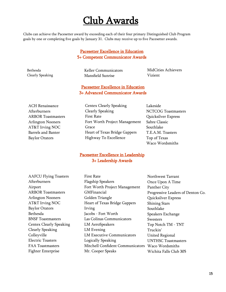### Club Awards

Clubs can achieve the Pacesetter award by exceeding each of their four primary Distinguished Club Program goals by one or completing five goals by January 31. Clubs may receive up to five Pacesetter awards.

#### Pacesetter Excellence in Education 5+ Competent Communicator Awards

Bethesda Clearly Speaking Keller Communicators Mansfield Sunrise

MidCities Achievers Vizient

#### Pacesetter Excellence in Education 3+ Advanced Communicator Awards

ACH Renaissance Afterburners ARBOR Toastmasters Arlington Nooners AT&T Irving NOC Barrels and Banter Baylor Orators

Lakeside NCTCOG Toastmasters Quicksilver Express Sabre Classic Southlake T.E.A.M. Toasters Top of Texas Waco Wordsmiths

#### Pacesetter Excellence in Leadership 3+ Leadership Awards

| <b>AAFCU Flying Toasters</b>   | <b>First Rate</b>                 | Northwest Tarrant                 |
|--------------------------------|-----------------------------------|-----------------------------------|
| Afterburners                   | <b>Flagship Speakers</b>          | Once Upon A Time                  |
| Airport                        | Fort Worth Project Management     | Panther City                      |
| <b>ARBOR Toastmasters</b>      | GMFinancial                       | Progressive Leaders of Denton Co. |
| <b>Arlington Nooners</b>       | Golden Triangle                   | Quicksilver Express               |
| AT&T Irving NOC                | Heart of Texas Bridge Gappers     | <b>Shining Stars</b>              |
| <b>Baylor Orators</b>          | Irving                            | Southlake                         |
| Bethesda                       | Jacobs - Fort Worth               | Speakers Exchange                 |
| <b>BNSF</b> Toastmasters       | Las Colinas Communicators         | <b>Swesters</b>                   |
| <b>Centex Clearly Speaking</b> | <b>LM AeroSpeakers</b>            | Top Notch TM - TNT                |
| <b>Clearly Speaking</b>        | LM Evening                        | Truckin'                          |
| Colleyville                    | <b>LM Executive Communicators</b> | <b>United Regional</b>            |
| <b>Electric Toasters</b>       | Logically Speaking                | <b>UNTHSC Toastmasters</b>        |
| <b>FAA Toastmasters</b>        | Mitchell Confident Communicators  | Waco Wordsmiths                   |
| <b>Fighter Enterprise</b>      | Mr. Cooper Speaks                 | Wichita Falls Club 305            |
|                                |                                   |                                   |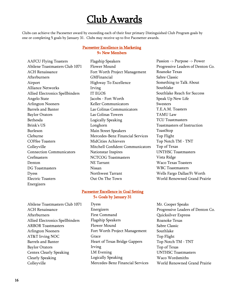### Club Awards

Clubs can achieve the Pacesetter award by exceeding each of their four primary Distinguished Club Program goals by one or completing 5 goals by January 31. Clubs may receive up to five Pacesetter awards.

#### Pacesetter Excellence in Marketing 9+ New Members

AAFCU Flying Toasters Abilene Toastmasters Club 1071 ACH Renaissance Afterburners Airport Alliance Networks Allied Electronics Spellbinders Angelo State Arlington Nooners Barrels and Banter Baylor Orators Bethesda Brink's US Burleson Cleburne COFfee Toasters **Colleyville** Connection Communicators Crefmasters Denton DG Toastmasters Dyess Electric Toasters Energizers

Flagship Speakers Flower Mound Fort Worth Project Management GMFinancial Highway To Excellence Irving IT EGOS Jacobs - Fort Worth Keller Communicators Las Colinas Communicators Las Colinas Towers Logically Speaking Longhorn Main Street Speakers Mercedes-Benz Financial Services MidCities Achievers Mitchell Confident Communicators Nationstar Inspires NCTCOG Toastmasters NE Tarrant Nissan Northwest Tarrant Out On The Town

#### Pacesetter Excellence in Goal Setting 5+ Goals by January 31

Abilene Toastmasters Club 1071 ACH Renaissance Afterburners Allied Electronics Spellbinders ARBOR Toastmasters Arlington Nooners AT&T Irving NOC Barrels and Banter Baylor Orators Centex Clearly Speaking Clearly Speaking Colleyville

Dyess Energizers First Command Flagship Speakers Flower Mound Fort Worth Project Management Grace Heart of Texas Bridge Gappers Irving LM Evening Logically Speaking Mercedes-Benz Financial Services Passion -> Purpose -> Power Progressive Leaders of Denton Co. Roanoke Texas Sabre Classic Something to Talk About Southlake Southlake Reach for Success Speak Up New Life Swesters T.E.A.M. Toasters TAMU Law TCU Toastmasters Toastmasters of Instruction ToastStop Top Flight Top Notch TM - TNT Top of Texas UNTHSC Toastmasters Vista Ridge Waco Texas Toasters WBC Toastmasters Wells Fargo Dallas/Ft Worth World Renowned Grand Prairie

Mr. Cooper Speaks Progressive Leaders of Denton Co. Quicksilver Express Roanoke Texas Sabre Classic Southlake Top Flight Top Notch TM - TNT Top of Texas UNTHSC Toastmasters Waco Wordsmiths World Renowned Grand Prairie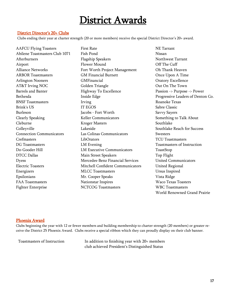#### District Director's 20+ Clubs

Clubs ending their year at charter strength (20 or more members) receive the special District Director's 20+ award.

AAFCU Flying Toasters Abilene Toastmasters Club 1071 Afterburners Airport Alliance Networks ARBOR Toastmasters Arlington Nooners AT&T Irving NOC Barrels and Banter Bethesda BNSF Toastmasters Brink's US Burleson Clearly Speaking Cleburne **Colleyville** Connection Communicators Crefmasters DG Toastmasters Do-Gooder Hill DTCC Dallas Dyess Electric Toasters Energizers Epsilonians FAA Toastmasters Fighter Enterprise

First Rate Fish Pond Flagship Speakers Flower Mound Fort Worth Project Management GM Financial Burnett GMFinancial Golden Triangle Highway To Excellence Inside Edge Irving IT EGOS Jacobs - Fort Worth Keller Communicators Kroger Masters Lakeside Las Colinas Communicators LibOrators LM Evening LM Executive Communicators Main Street Speakers Mercedes-Benz Financial Services Mitchell Confident Communicators MLCC Toastmasters Mr. Cooper Speaks Nationstar Inspires NCTCOG Toastmasters

NE Tarrant Nissan Northwest Tarrant Off The Cuff Oh Thank Heaven Once Upon A Time Oratory Excellence Out On The Town Passion -> Purpose -> Power Progressive Leaders of Denton Co. Roanoke Texas Sabre Classic Savvy Sayers Something to Talk About Southlake Southlake Reach for Success **Swesters** TCU Toastmasters Toastmasters of Instruction ToastStop Top Flight United Communicators United Regional Ursus Inspired Vista Ridge Waco Texas Toasters WBC Toastmasters World Renowned Grand Prairie

#### Phoenix Award

Clubs beginning the year with 12 or fewer members and building membership to charter strength (20 members) or greater receive the District 25 Phoenix Award. Clubs receive a special ribbon which they can proudly display on their club banner.

Toastmasters of Instruction In addition to finishing year with 20+ members club achieved President's Distinguished Status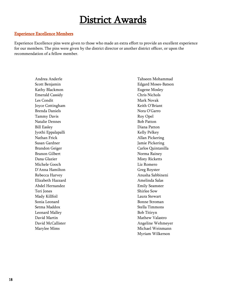#### Experience Excellence Members

Experience Excellence pins were given to those who made an extra effort to provide an excellent experience for our members. The pins were given by the district director or another district officer, or upon the recommendation of a fellow member.

> Andrea Anderle Scott Benjamin Kathy Blackmon Emerald Cassidy Les Condit Joyce Cottingham Brenda Daniels Tammy Davis Natalie Dennes Bill Easley Jyothi Eppalapalli Nathan Frick Susan Gardner Brandon Geiger Branon Gilbert Dana Glazier Michele Gooch D'Anna Hamilton Rebecca Harvey Elizabeth Hazzard Abdel Hernandez Teri Jones Mady Killfoil Sonia Leonard Setma Maddox Leonard Malley David Martin David McCallister Marylee Mims

Tahseen Mohammad Edgard Moses-Batson Eugene Mosley Chris Nichols Mark Novak Keith O'Briant Nora O'Garro Roy Opel Bob Patton Diana Patton Kelly Pelkey Allan Pickering Jamie Pickering Carlos Quintanilla Norma Rainey Misty Ricketts Liz Romero Greg Royster Anusha Sabbineni Amelinda Salas Emily Seamster Shirlee Sow Laura Stewart Bonne Stroman Stella Timmons Bob Titiryn Mathew Valastro Angeline Wehmeyer Michael Weinmann Myriam Wilkerson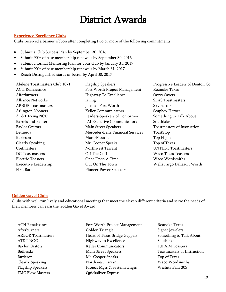#### Experience Excellence Clubs

Clubs received a banner ribbon after completing two or more of the following commitments:

- Submit a Club Success Plan by September 30, 2016
- Submit 90% of base membership renewals by September 30, 2016
- Submit a formal Mentoring Plan for your club by January 31, 2017
- Submit 90% of base membership renewals by March 31, 2017
- Reach Distinguished status or better by April 30, 2017

Abilene Toastmasters Club 1071 ACH Renaissance Afterburners Alliance Networks ARBOR Toastmasters Arlington Nooners AT&T Irving NOC Barrels and Banter Baylor Orators Bethesda Burleson Clearly Speaking **Crefmasters** DG Toastmasters Electric Toasters Executive Leadership First Rate

Flagship Speakers Fort Worth Project Management Highway To Excellence Irving Jacobs - Fort Worth Keller Communicators Leaders-Speakers of Tomorrow LM Executive Communicators Main Street Speakers Mercedes-Benz Financial Services **MotorMouths** Mr. Cooper Speaks Northwest Tarrant Off The Cuff Once Upon A Time Out On The Town Pioneer Power Speakers

Progressive Leaders of Denton Co Roanoke Texas Savvy Sayers SEAS Toastmasters Skymasters Soapbox Heroes Something to Talk About Southlake Toastmasters of Instruction ToastStop Top Flight Top of Texas UNTHSC Toastmasters Waco Texas Toasters Waco Wordsmiths Wells Fargo Dallas/Ft Worth

#### Golden Gavel Clubs

Clubs with well-run lively and educational meetings that meet the eleven different criteria and serve the needs of their members can earn the Golden Gavel Award.

ACH Renaissance Afterburners ARBOR Toastmasters AT&T NOC Baylor Orators Bethesda Burleson Clearly Speaking Flagship Speakers FMC Flow Masters

- Fort Worth Project Management Golden Triangle Heart of Texas Bridge Gappers Highway to Excellence Keller Communicators Main Street Speakers Mr. Cooper Speaks Northwest Tarrant Project Mgrs & Systems Engrs Quicksilver Express
- Roanoke Texas Signet Jewelers Something to Talk About Southlake T.E.A.M Toasters Toastmasters of Instruction Top of Texas Waco Wordsmiths Wichita Falls 305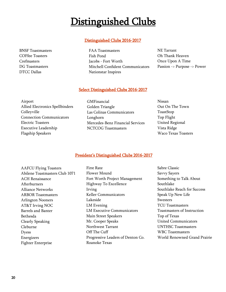### Distinguished Clubs

#### Distinguished Clubs 2016-2017

BNSF Toastmasters COFfee Toasters Crefmasters DG Toastmasters DTCC Dallas

FAA Toastmasters Fish Pond Jacobs - Fort Worth Mitchell Confident Communicators Nationstar Inspires

NE Tarrant Oh Thank Heaven Once Upon A Time Passion -> Purpose -> Power

#### Select Distinguished Clubs 2016-2017

Airport Allied Electronics Spellbinders Colleyville Connection Communicators Electric Toasters Executive Leadership Flagship Speakers

- GMFinancial Golden Triangle Las Colinas Communicators Longhorn Mercedes-Benz Financial Services NCTCOG Toastmasters
- Nissan Out On The Town ToastStop Top Flight United Regional Vista Ridge Waco Texas Toasters

#### President's Distinguished Clubs 2016-2017

| <b>First Rate</b>                 | Sabre Classic                |
|-----------------------------------|------------------------------|
| Flower Mound                      | Savvy Sayers                 |
| Fort Worth Project Management     | Something to Talk About      |
| Highway To Excellence             | Southlake                    |
| Irving                            | Southlake Reach for Success  |
| Keller Communicators              | Speak Up New Life            |
| Lakeside                          | Swesters                     |
| LM Evening                        | <b>TCU</b> Toastmasters      |
| <b>LM Executive Communicators</b> | Toastmasters of Instruction  |
| Main Street Speakers              | Top of Texas                 |
| Mr. Cooper Speaks                 | <b>United Communicators</b>  |
| Northwest Tarrant                 | <b>UNTHSC Toastmasters</b>   |
| Off The Cuff                      | <b>WBC</b> Toastmasters      |
| Progressive Leaders of Denton Co. | World Renowned Grand Prairie |
| Roanoke Texas                     |                              |
|                                   |                              |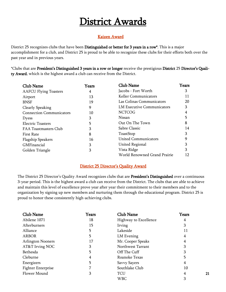#### Kaizen Award

District 25 recognizes clubs that have been Distinguished or better for 3 years in a row\*. This is a major accomplishment for a club, and District 25 is proud to be able to recognize these clubs for their efforts both over the past year and in previous years.

\*Clubs that are President's Distinguished 3 years in a row or longer receive the prestigious District 25 Director's Quality Award, which is the highest award a club can receive from the District.

| Club Name                       | Years | <b>Club Name</b>                  | Years |
|---------------------------------|-------|-----------------------------------|-------|
| <b>AAFCU Flying Toasters</b>    | 4     | Jacobs - Fort Worth               | З     |
| Airport                         | 13    | Keller Communicators              | 11    |
| <b>BNSF</b>                     | 19    | Las Colinas Communicators         | 20    |
| Clearly Speaking                | 9     | <b>LM Executive Communicators</b> | 3     |
| <b>Connection Communicators</b> | 10    | <b>NCTCOG</b>                     | 4     |
| <b>Dyess</b>                    | 3     | Nissan                            |       |
| <b>Electric Toasters</b>        | 5     | Out On The Town                   | 8     |
| <b>FAA Toastmasters Club</b>    | 3     | Sabre Classic                     | 14    |
| <b>First Rate</b>               | 8     | ToastStop                         | 3     |
| <b>Flagship Speakers</b>        | 16    | <b>United Communicators</b>       | 9     |
| GMFinancial                     | 3     | <b>United Regional</b>            | 3     |
| Golden Triangle                 | 3     | Vista Ridge                       | 3     |
|                                 |       | World Renowned Grand Prairie      | 12.   |

#### District 25 Director's Quality Award

The District 25 Director's Quality Award recognizes clubs that are President's Distinguished over a continuous 3-year period. This is the highest award a club can receive from the District. The clubs that are able to achieve and maintain this level of excellence prove year after year their commitment to their members and to the organization by signing up new members and nurturing them through the educational program. District 25 is proud to honor these consistently high-achieving clubs.

| Club Name                 | Years | <b>Club Name</b>      | Years |
|---------------------------|-------|-----------------------|-------|
| Abilene 1071              | 18    | Highway to Excellence | 4     |
| Afterburners              | 15    | Irving                | 3     |
| Alliance                  | 5     | Lakeside              | 11    |
| ARBOR                     | 5     | LM Evening            | 4     |
| <b>Arlington Nooners</b>  | 17    | Mr. Cooper Speaks     | 4     |
| AT&T Irving NOC           | 3     | Northwest Tarrant     | 3     |
| Bethesda                  | 5     | Off The Cuff          | З     |
| Cleburne                  | 4     | Roanoke Texas         | 5     |
| Energizers                | 5     | Savvy Sayers          | 4     |
| <b>Fighter Enterprise</b> | 7     | Southlake Club        | 10    |
| <b>Flower Mound</b>       | 3     | TCU                   | 4     |
|                           |       | WBC                   | З     |

21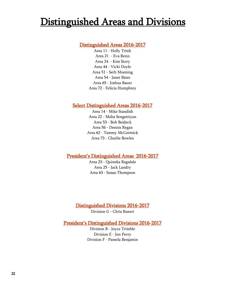### Distinguished Areas and Divisions

#### Distinguished Areas 2016-2017

Area 11 - Holly Trinh Area 21 - Eva Renn Area 24 - Kim Story Area 44 - Vicki Doyle Area 51 - Seth Moening Area 54 - Janet Bates Area 65 - Joshua Bauer Area 72 - Felicia Humphrey

#### Select Distinguished Areas 2016-2017

Area 14 - Mike Standish Area 22 - Maha Sengottiyan Area 53 - Bob Beideck Area 56 - Dennis Regan Area 62 - Tammy McCormick Area 73 - Charlie Bowles

#### President's Distinguished Areas 2016-2017

Area 23 - Quineka Ragsdale Area 25 - Jack Landry Area 63 - Susan Thompson

#### Distinguished Divisions 2016-2017

Division G - Chris Raneri

#### President's Distinguished Divisions 2016-2017

Division B - Joyce Trimble Division E - Jon Perry Division F - Pamela Benjamin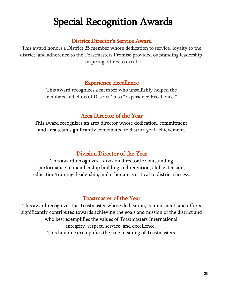# **Special Recognition Awards**

#### District Director's Service Award

This award honors a District 25 member whose dedication to service, loyalty to the district, and adherence to the Toastmasters Promise provided outstanding leadership, inspiring others to excel.

#### Experience Excellence

This award recognizes a member who unselfishly helped the members and clubs of District 25 to "Experience Excellence."

#### Area Director of the Year

This award recognizes an area director whose dedication, commitment, and area team significantly contributed to district goal achievement.

### Division Director of the Year

This award recognizes a division director for outstanding performance in membership building and retention, club extension, education/training, leadership, and other areas critical to district success.

#### Toastmaster of the Year

This award recognizes the Toastmaster whose dedication, commitment, and efforts significantly contributed towards achieving the goals and mission of the district and who best exemplifies the values of Toastmasters International: integrity, respect, service, and excellence. This honoree exemplifies the true meaning of Toastmasters.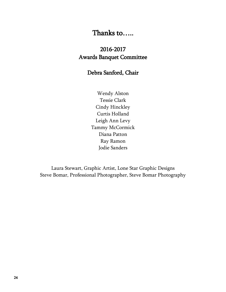### Thanks to…..

### 2016-2017 Awards Banquet Committee

#### Debra Sanford, Chair

Wendy Alston Tessie Clark Cindy Hinckley Curtis Holland Leigh Ann Levy Tammy McCormick Diana Patton Ray Ramon Jodie Sanders

Laura Stewart, Graphic Artist, Lone Star Graphic Designs Steve Bomar, Professional Photographer, Steve Bomar Photography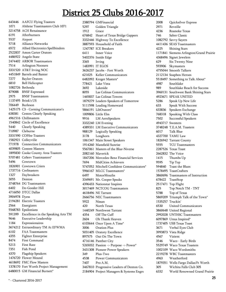### District 25 Clubs 2016-2017

 AAFCU Flying Toasters Abilene Toastmasters Club 1071 ACH Renaissance Afterburners Airport Alliance Networks Allied Electronics Spellbinders Amon Carter Orators Angelo State ARBOR Toastmasters Arlington Nooners AT&T Irving NOC Barrels and Banter Baylor Orators Bell Helicopter Bethesda BNSF Expressed BNSF Toastmasters Brink's US Burleson C3 - Corning Communicator's Centex Clearly Speaking Chillmasters Circle of Excellence Clearly Speaking Cleburne COFfee Toasters Colleyville Connection Communicators Contest Masters Cooke County Area Toasters CoServ Toastmasters\* Cowtown Cowtown Criers Crefmasters Daybreakers Denton DG Toastmasters Do-Gooder Hill DTCC Dallas Dyess Electric Toasters Energizers Epsilonians Excellence in the Speaking Arts TM Executive Leadership Expressionaires Extraordinary TM At EFWMA FAA Toastmasters Fighter Enterprise First Command First Rate Fish Pond Flagship Speakers Flower Mound FMC Flow Masters Fort Worth Project Management GM Financial Burnett\*

 GMFinancial Golden Triangle Grace Heart of Texas Bridge Gappers Highway To Excellence Household of Faith ICE Breakers Inner Voice Inside Edge Irving IT EGOS Jacobs - Fort Worth Keller Communicators Kroger Masters\* Lake Vista Lakeside Las Colinas Communicators Las Colinas Towers Leaders-Speakers of Tomorrow Leading Homeward LibOrators\* Little Elm LM AeroSpeakers LM Evening LM Executive Communicators Logically Speaking Longhorn Main Street Speakers Mansfield Sunrise Masters of the Blue-Niverse Maverick Mercedes-Benz Financial Services MidCities Achievers Mitchell Confident Communicators\* MLCC Toastmasters\* MotorMouths Mr. Cooper Speaks Nationstar Inspires NCTCOG Toastmasters NE Tarrant NEC Toastmasters Nissan North Texas Northwest Tarrant Off The Cuff Oh Thank Heaven Once Upon A Time\* Oration Plus Oratory Excellence Out On The Town Panther City Passion -> Purpose -> Power\* Pioneer Power Speakers Plus-Two Power Communicators Pro A.M. Progressive Leaders of Denton Co. Project Managers & Systems Engrs

 Quicksilver Express Reveille Roanoke Texas Sabre Classic Savvy Sayers SEAS Toastmasters Shining Stars Siemens Arlington/Grand Prairie Signet Jewelers Six Twenty Nine Skymasters Smooth Talkers Soapbox Heroes Something to Talk About\* Southlake Southlake Reach for Success Southwest Bank Shining Stars SPEAK UNITED Speak Up New Life Speak With Success Speakers Exchange Speaking With Class Successful Speakers Swesters T.E.A.M. Toasters Talk Blue TAMU Law Tarrant County TCU Toastmasters Texas Toast The Voice Thumbs Up Tip Top Toast the Blues ToastCrafters Toastmasters of Instruction ToastStop Top Flight Top Notch TM - TNT Top of Texas Triumph Talk of the Town\* Truckin' United Communicators United Regional UNTHSC Toastmasters Ursus Inspired\* USB Texas Toast Verbal Eyes Club Vista Ridge Vizient Waco - Early Birds Waco Texas Toasters Waco Wordsmiths WBC Toastmasters Weatherford Wells Fargo Dallas/Ft Worth Wichita Falls Club 305 World Renowned Grand Prairie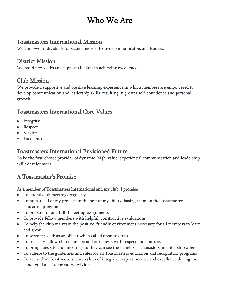### Who We Are

#### Toastmasters International Mission

We empower individuals to become more effective communicators and leaders.

#### District Mission

We build new clubs and support all clubs in achieving excellence.

#### Club Mission

We provide a supportive and positive learning experience in which members are empowered to develop communication and leadership skills, resulting in greater self-confidence and personal growth.

### Toastmasters International Core Values

- Integrity
- Respect
- Service
- Excellence

### Toastmasters International Envisioned Future

To be the first-choice provider of dynamic, high-value, experiential communication and leadership skills development.

### A Toastmaster's Promise

#### As a member of Toastmasters International and my club, I promise

- To attend club meetings regularly
- To prepare all of my projects to the best of my ability, basing them on the Toastmasters education program
- To prepare for and fulfill meeting assignments
- To provide fellow members with helpful, constructive evaluations
- To help the club maintain the positive, friendly environment necessary for all members to learn and grow
- To serve my club as an officer when called upon to do so
- To treat my fellow club members and our guests with respect and courtesy
- To bring guests to club meetings so they can see the benefits Toastmasters' membership offers
- To adhere to the guidelines and rules for all Toastmasters education and recognition programs
- To act within Toastmasters' core values of integrity, respect, service and excellence during the conduct of all Toastmasters activities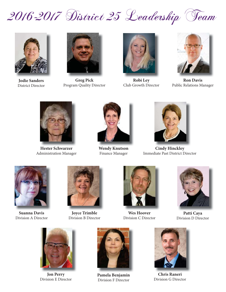



**Jodie Sanders** District Director



**Greg Pick** Program Quality Director



**Robi Ley** Club Growth Director



**Ron Davis** Public Relations Manager



**Hester Schwarzer** Administration Manager



**Wendy Knutson** Finance Manager



**Cindy Hinckley** Immediate Past District Director



**Suanna Davis** Division A Director



**Joyce Trimble** Division B Director



**Wes Hoover** Division C Director



**Patti Caya** Division D Director



**Jon Perry** Division E Director



**Pamela Benjamin** Division F Director



**Chris Raneri** Division G Director